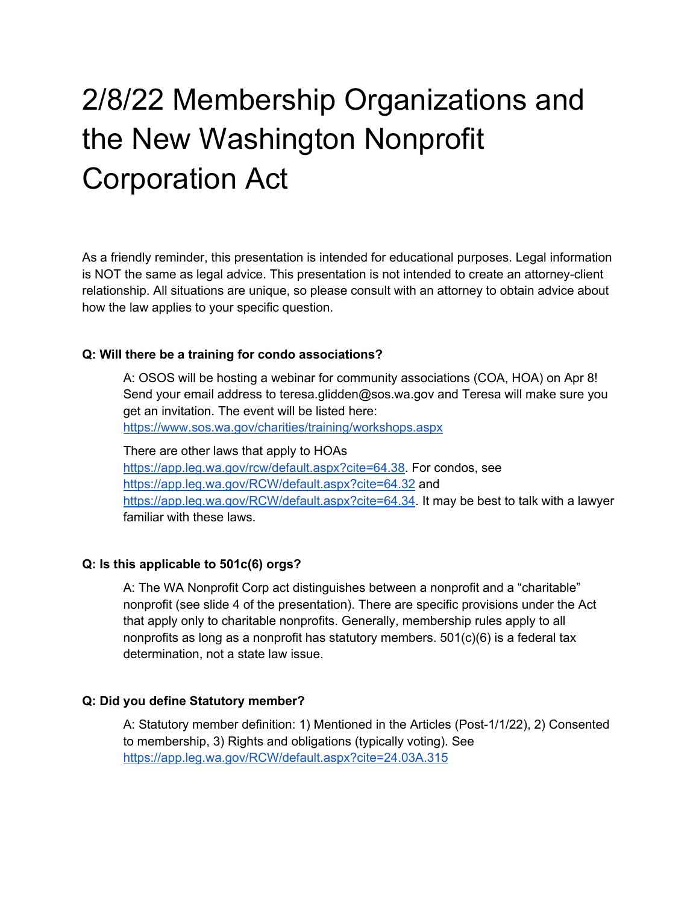# 2/8/22 Membership Organizations and the New Washington Nonprofit Corporation Act

As a friendly reminder, this presentation is intended for educational purposes. Legal information is NOT the same as legal advice. This presentation is not intended to create an attorney-client relationship. All situations are unique, so please consult with an attorney to obtain advice about how the law applies to your specific question.

#### **Q: Will there be a training for condo associations?**

A: OSOS will be hosting a webinar for community associations (COA, HOA) on Apr 8! Send your email address to teresa.glidden@sos.wa.gov and Teresa will make sure you get an invitation. The event will be listed here: https://www.sos.wa.gov/charities/training/workshops.aspx

There are other laws that apply to HOAs https://app.leg.wa.gov/rcw/default.aspx?cite=64.38. For condos, see https://app.leg.wa.gov/RCW/default.aspx?cite=64.32 and

https://app.leg.wa.gov/RCW/default.aspx?cite=64.34. It may be best to talk with a lawyer familiar with these laws.

#### **Q: Is this applicable to 501c(6) orgs?**

A: The WA Nonprofit Corp act distinguishes between a nonprofit and a "charitable" nonprofit (see slide 4 of the presentation). There are specific provisions under the Act that apply only to charitable nonprofits. Generally, membership rules apply to all nonprofits as long as a nonprofit has statutory members.  $501(c)(6)$  is a federal tax determination, not a state law issue.

#### **Q: Did you define Statutory member?**

A: Statutory member definition: 1) Mentioned in the Articles (Post-1/1/22), 2) Consented to membership, 3) Rights and obligations (typically voting). See https://app.leg.wa.gov/RCW/default.aspx?cite=24.03A.315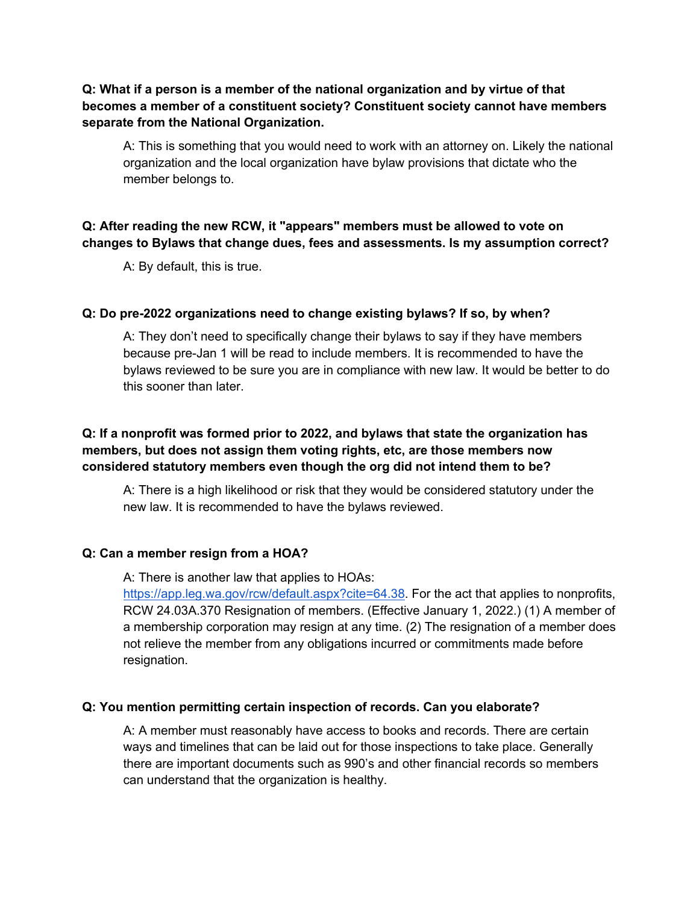**Q: What if a person is a member of the national organization and by virtue of that becomes a member of a constituent society? Constituent society cannot have members separate from the National Organization.**

A: This is something that you would need to work with an attorney on. Likely the national organization and the local organization have bylaw provisions that dictate who the member belongs to.

# **Q: After reading the new RCW, it "appears" members must be allowed to vote on changes to Bylaws that change dues, fees and assessments. Is my assumption correct?**

A: By default, this is true.

#### **Q: Do pre-2022 organizations need to change existing bylaws? If so, by when?**

A: They don't need to specifically change their bylaws to say if they have members because pre-Jan 1 will be read to include members. It is recommended to have the bylaws reviewed to be sure you are in compliance with new law. It would be better to do this sooner than later.

# **Q: If a nonprofit was formed prior to 2022, and bylaws that state the organization has members, but does not assign them voting rights, etc, are those members now considered statutory members even though the org did not intend them to be?**

A: There is a high likelihood or risk that they would be considered statutory under the new law. It is recommended to have the bylaws reviewed.

#### **Q: Can a member resign from a HOA?**

A: There is another law that applies to HOAs:

https://app.leg.wa.gov/rcw/default.aspx?cite=64.38. For the act that applies to nonprofits, RCW 24.03A.370 Resignation of members. (Effective January 1, 2022.) (1) A member of a membership corporation may resign at any time. (2) The resignation of a member does not relieve the member from any obligations incurred or commitments made before resignation.

#### **Q: You mention permitting certain inspection of records. Can you elaborate?**

A: A member must reasonably have access to books and records. There are certain ways and timelines that can be laid out for those inspections to take place. Generally there are important documents such as 990's and other financial records so members can understand that the organization is healthy.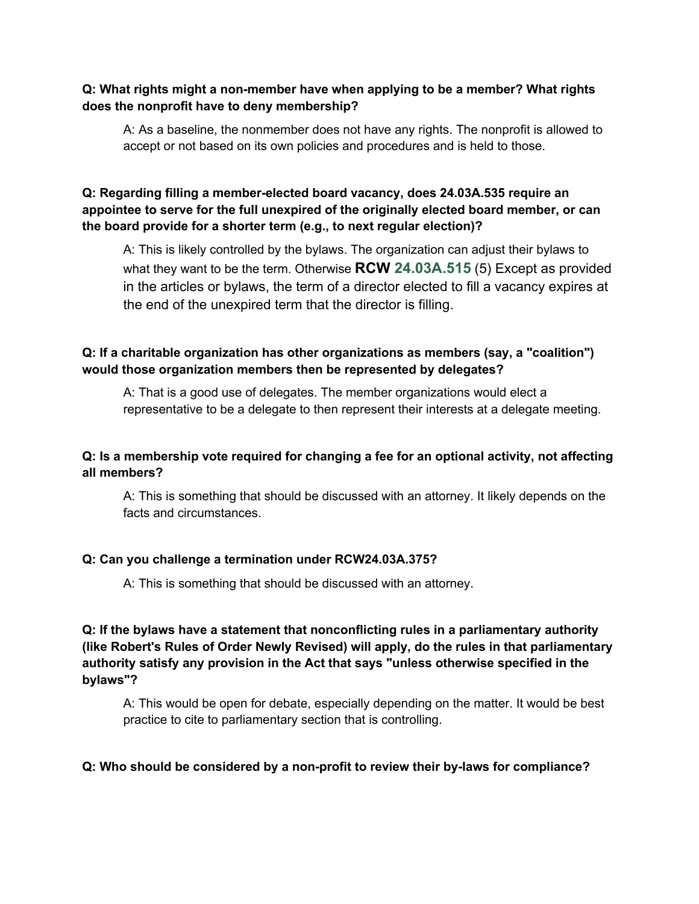## **Q: What rights might a non-member have when applying to be a member? What rights does the nonprofit have to deny membership?**

A: As a baseline, the nonmember does not have any rights. The nonprofit is allowed to accept or not based on its own policies and procedures and is held to those.

# **Q: Regarding filling a member-elected board vacancy, does 24.03A.535 require an appointee to serve for the full unexpired of the originally elected board member, or can the board provide for a shorter term (e.g., to next regular election)?**

A: This is likely controlled by the bylaws. The organization can adjust their bylaws to what they want to be the term. Otherwise **RCW 24.03A.515** (5) Except as provided in the articles or bylaws, the term of a director elected to fill a vacancy expires at the end of the unexpired term that the director is filling.

# **Q: If a charitable organization has other organizations as members (say, a "coalition") would those organization members then be represented by delegates?**

A: That is a good use of delegates. The member organizations would elect a representative to be a delegate to then represent their interests at a delegate meeting.

# **Q: Is a membership vote required for changing a fee for an optional activity, not affecting all members?**

A: This is something that should be discussed with an attorney. It likely depends on the facts and circumstances.

# **Q: Can you challenge a termination under RCW24.03A.375?**

A: This is something that should be discussed with an attorney.

**Q: If the bylaws have a statement that nonconflicting rules in a parliamentary authority (like Robert's Rules of Order Newly Revised) will apply, do the rules in that parliamentary authority satisfy any provision in the Act that says "unless otherwise specified in the bylaws"?**

A: This would be open for debate, especially depending on the matter. It would be best practice to cite to parliamentary section that is controlling.

#### **Q: Who should be considered by a non-profit to review their by-laws for compliance?**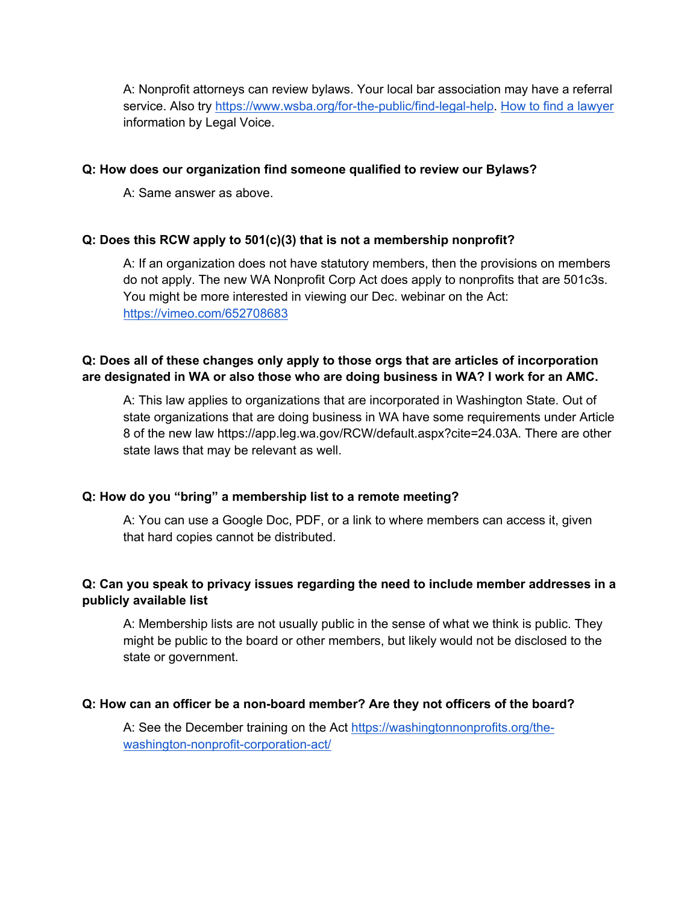A: Nonprofit attorneys can review bylaws. Your local bar association may have a referral service. Also try https://www.wsba.org/for-the-public/find-legal-help. How to find a lawyer information by Legal Voice.

#### **Q: How does our organization find someone qualified to review our Bylaws?**

A: Same answer as above.

#### **Q: Does this RCW apply to 501(c)(3) that is not a membership nonprofit?**

A: If an organization does not have statutory members, then the provisions on members do not apply. The new WA Nonprofit Corp Act does apply to nonprofits that are 501c3s. You might be more interested in viewing our Dec. webinar on the Act: https://vimeo.com/652708683

# **Q: Does all of these changes only apply to those orgs that are articles of incorporation are designated in WA or also those who are doing business in WA? I work for an AMC.**

A: This law applies to organizations that are incorporated in Washington State. Out of state organizations that are doing business in WA have some requirements under Article 8 of the new law https://app.leg.wa.gov/RCW/default.aspx?cite=24.03A. There are other state laws that may be relevant as well.

#### **Q: How do you "bring" a membership list to a remote meeting?**

A: You can use a Google Doc, PDF, or a link to where members can access it, given that hard copies cannot be distributed.

# **Q: Can you speak to privacy issues regarding the need to include member addresses in a publicly available list**

A: Membership lists are not usually public in the sense of what we think is public. They might be public to the board or other members, but likely would not be disclosed to the state or government.

#### **Q: How can an officer be a non-board member? Are they not officers of the board?**

A: See the December training on the Act https://washingtonnonprofits.org/thewashington-nonprofit-corporation-act/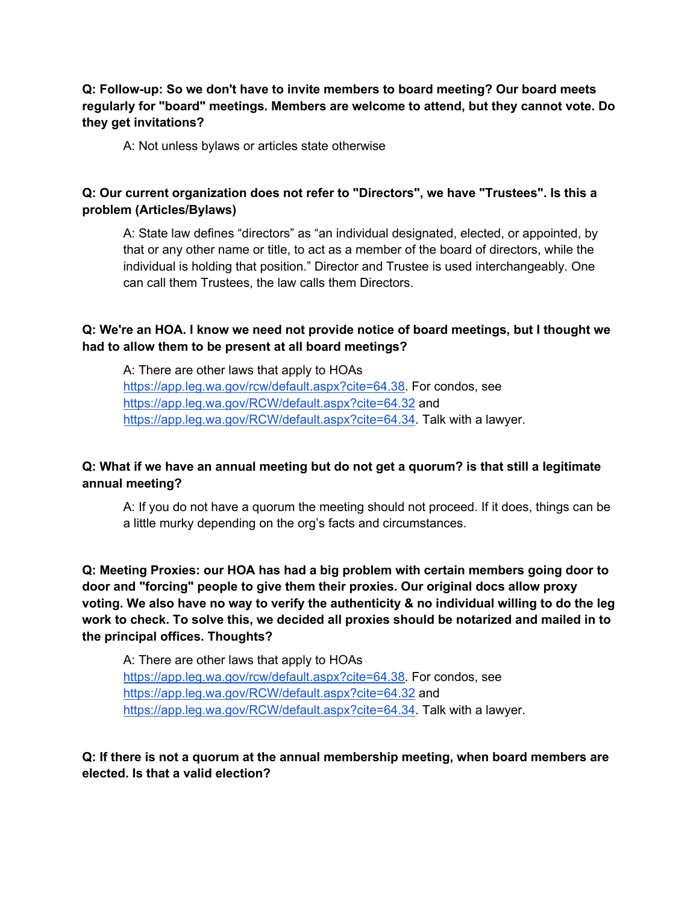# **Q: Follow-up: So we don't have to invite members to board meeting? Our board meets regularly for "board" meetings. Members are welcome to attend, but they cannot vote. Do they get invitations?**

A: Not unless bylaws or articles state otherwise

# **Q: Our current organization does not refer to "Directors", we have "Trustees". Is this a problem (Articles/Bylaws)**

A: State law defines "directors" as "an individual designated, elected, or appointed, by that or any other name or title, to act as a member of the board of directors, while the individual is holding that position." Director and Trustee is used interchangeably. One can call them Trustees, the law calls them Directors.

# **Q: We're an HOA. I know we need not provide notice of board meetings, but I thought we had to allow them to be present at all board meetings?**

A: There are other laws that apply to HOAs https://app.leg.wa.gov/rcw/default.aspx?cite=64.38. For condos, see https://app.leg.wa.gov/RCW/default.aspx?cite=64.32 and https://app.leg.wa.gov/RCW/default.aspx?cite=64.34. Talk with a lawyer.

# **Q: What if we have an annual meeting but do not get a quorum? is that still a legitimate annual meeting?**

A: If you do not have a quorum the meeting should not proceed. If it does, things can be a little murky depending on the org's facts and circumstances.

**Q: Meeting Proxies: our HOA has had a big problem with certain members going door to door and "forcing" people to give them their proxies. Our original docs allow proxy voting. We also have no way to verify the authenticity & no individual willing to do the leg work to check. To solve this, we decided all proxies should be notarized and mailed in to the principal offices. Thoughts?**

A: There are other laws that apply to HOAs https://app.leg.wa.gov/rcw/default.aspx?cite=64.38. For condos, see https://app.leg.wa.gov/RCW/default.aspx?cite=64.32 and https://app.leg.wa.gov/RCW/default.aspx?cite=64.34. Talk with a lawyer.

**Q: If there is not a quorum at the annual membership meeting, when board members are elected. Is that a valid election?**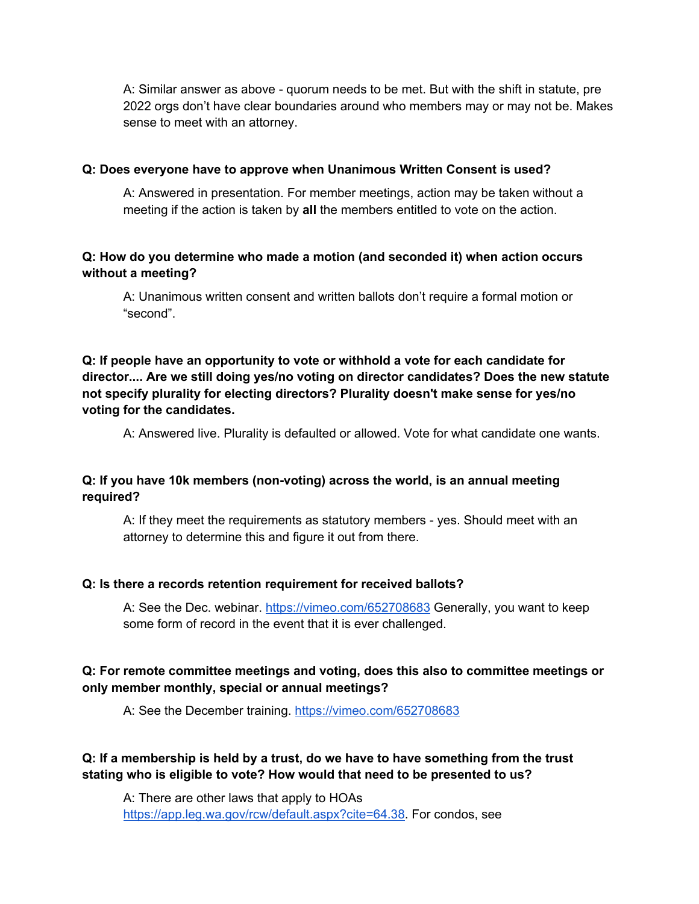A: Similar answer as above - quorum needs to be met. But with the shift in statute, pre 2022 orgs don't have clear boundaries around who members may or may not be. Makes sense to meet with an attorney.

#### **Q: Does everyone have to approve when Unanimous Written Consent is used?**

A: Answered in presentation. For member meetings, action may be taken without a meeting if the action is taken by **all** the members entitled to vote on the action.

#### **Q: How do you determine who made a motion (and seconded it) when action occurs without a meeting?**

A: Unanimous written consent and written ballots don't require a formal motion or "second".

**Q: If people have an opportunity to vote or withhold a vote for each candidate for director.... Are we still doing yes/no voting on director candidates? Does the new statute not specify plurality for electing directors? Plurality doesn't make sense for yes/no voting for the candidates.**

A: Answered live. Plurality is defaulted or allowed. Vote for what candidate one wants.

# **Q: If you have 10k members (non-voting) across the world, is an annual meeting required?**

A: If they meet the requirements as statutory members - yes. Should meet with an attorney to determine this and figure it out from there.

#### **Q: Is there a records retention requirement for received ballots?**

A: See the Dec. webinar. https://vimeo.com/652708683 Generally, you want to keep some form of record in the event that it is ever challenged.

#### **Q: For remote committee meetings and voting, does this also to committee meetings or only member monthly, special or annual meetings?**

A: See the December training. https://vimeo.com/652708683

# **Q: If a membership is held by a trust, do we have to have something from the trust stating who is eligible to vote? How would that need to be presented to us?**

A: There are other laws that apply to HOAs https://app.leg.wa.gov/rcw/default.aspx?cite=64.38. For condos, see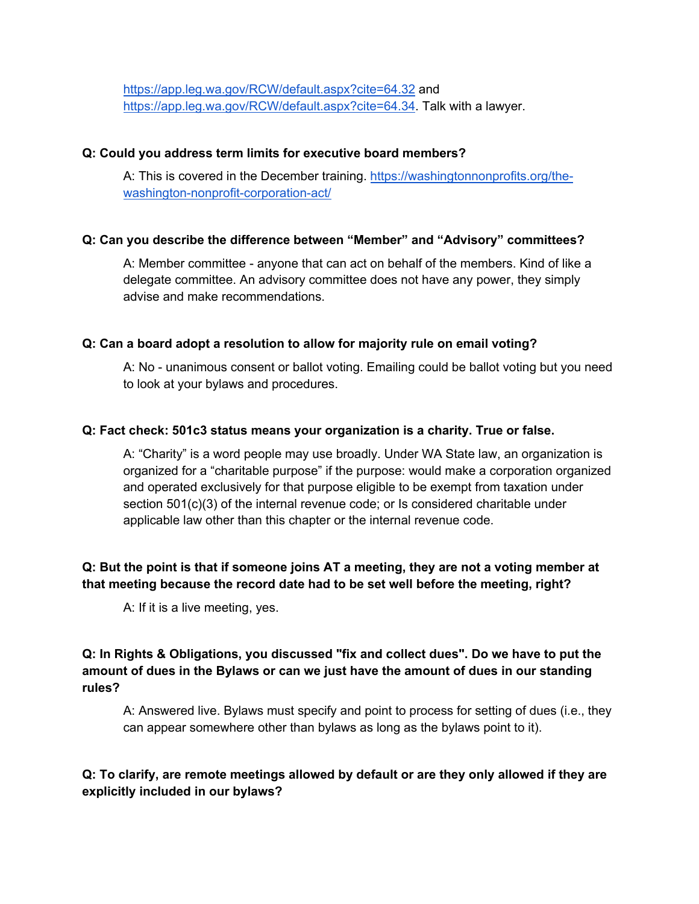https://app.leg.wa.gov/RCW/default.aspx?cite=64.32 and https://app.leg.wa.gov/RCW/default.aspx?cite=64.34. Talk with a lawyer.

#### **Q: Could you address term limits for executive board members?**

A: This is covered in the December training. https://washingtonnonprofits.org/thewashington-nonprofit-corporation-act/

#### **Q: Can you describe the difference between "Member" and "Advisory" committees?**

A: Member committee - anyone that can act on behalf of the members. Kind of like a delegate committee. An advisory committee does not have any power, they simply advise and make recommendations.

#### **Q: Can a board adopt a resolution to allow for majority rule on email voting?**

A: No - unanimous consent or ballot voting. Emailing could be ballot voting but you need to look at your bylaws and procedures.

#### **Q: Fact check: 501c3 status means your organization is a charity. True or false.**

A: "Charity" is a word people may use broadly. Under WA State law, an organization is organized for a "charitable purpose" if the purpose: would make a corporation organized and operated exclusively for that purpose eligible to be exempt from taxation under section 501(c)(3) of the internal revenue code; or Is considered charitable under applicable law other than this chapter or the internal revenue code.

#### **Q: But the point is that if someone joins AT a meeting, they are not a voting member at that meeting because the record date had to be set well before the meeting, right?**

A: If it is a live meeting, yes.

## **Q: In Rights & Obligations, you discussed "fix and collect dues". Do we have to put the amount of dues in the Bylaws or can we just have the amount of dues in our standing rules?**

A: Answered live. Bylaws must specify and point to process for setting of dues (i.e., they can appear somewhere other than bylaws as long as the bylaws point to it).

#### **Q: To clarify, are remote meetings allowed by default or are they only allowed if they are explicitly included in our bylaws?**